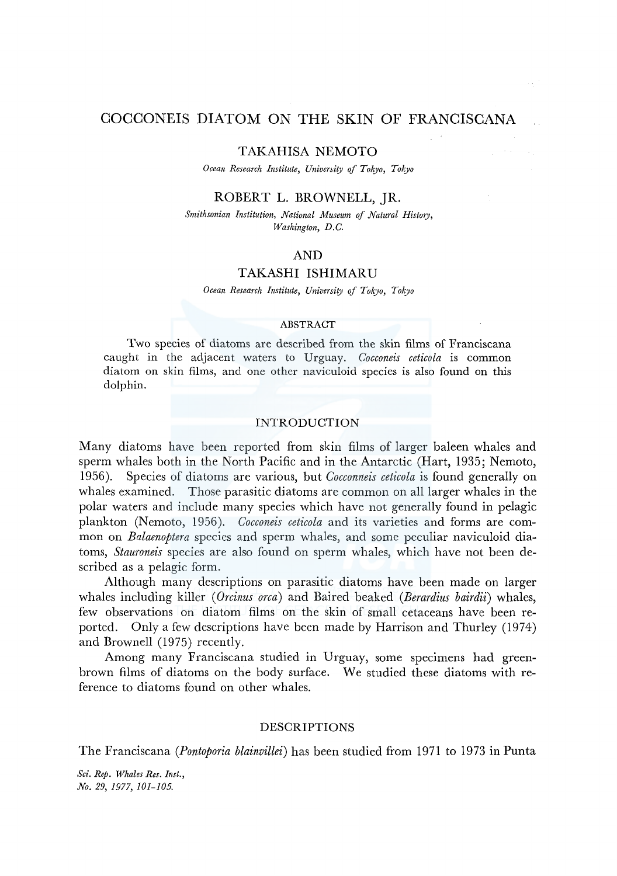# COCCONEIS DIATOM ON THE SKIN OF FRANCISCANA

#### TAKAHISA NEMOTO

Ocean Research Institute, University of Tokyo, Tokyo

## ROBERT L. BROWNELL, JR.

*Smithsonian Institution, National Museum of Natural History, Washington, D.C.* 

## AND

### TAKASHI ISHIMARU

*Ocean Research Institute, University of Tok)'O, Tokyo* 

#### ABSTRACT

Two species of diatoms are described from the skin films of Franciscana caught in the adjacent waters to Urguay. *Cocconeis ceticola* is common diatom on skin films, and one other naviculoid species is also found on this dolphin.

## INTRODUCTION

Many diatoms have been reported from skin films of larger baleen whales and sperm whales both in the North Pacific and in the Antarctic (Hart, 1935; Nemoto, 1956). Species of diatoms are various, but *Cocconneis ceticola* is found generally on whales examined. Those parasitic diatoms are common on all larger whales in the polar waters and include many species which have not generally found in pelagic plankton (Nemoto, 1956). *Cocconeis ceticola* and its varieties and forms are common on *Balaenoptera* species and sperm whales, and some peculiar naviculoid diatoms, *Stauroneis* species are also found on sperm whales, which have not been described as a pelagic form.

Although many descriptions on parasitic diatoms have been made on larger whales including killer ( *Orcinus orca)* and Baired beaked *(Berardius bairdii)* whales, few observations on diatom films on the skin of small cetaceans have been reported. Only a few descriptions have been made by Harrison and Thurley (1974) and Brownell (1975) recently.

Among many Franciscana studied in Urguay, some specimens had greenbrown films of diatoms on the body surface. We studied these diatoms with reference to diatoms found on other whales.

### DESCRIPTIONS

The Franciscana *(Pontoporia blainvillei)* has been studied from 1971 to 1973 in Punta

*Sci. Rep. Whales Res. Inst., No. 29, 1977, 101-105.*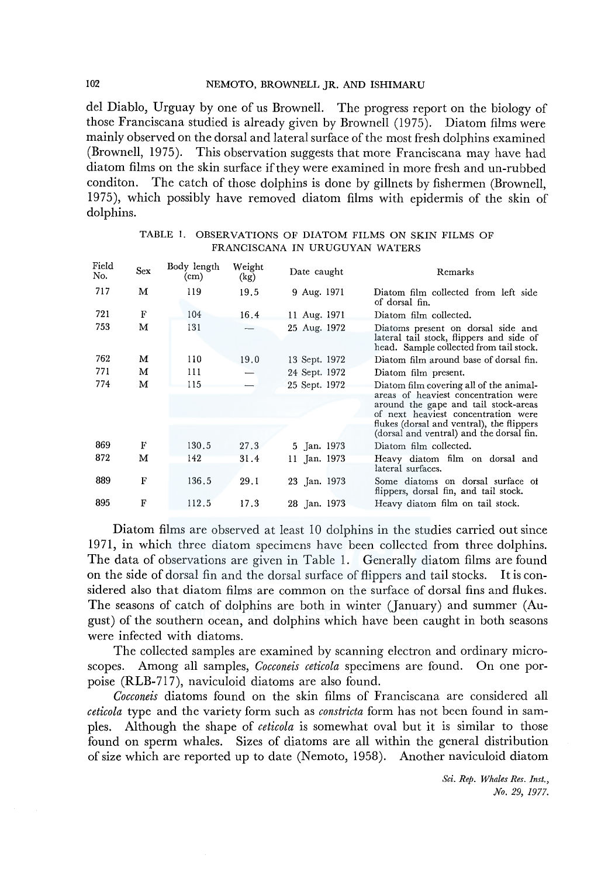del Diablo, Urguay by one of us Brownell. The progress report on the biology of those Franciscana studied is already given by Brownell (1975). Diatom films were mainly observed on the dorsal and lateral surface of the most fresh dolphins examined (Brownell, 1975). This observation suggests that more Franciscana may have had diatom films on the skin surface if they were examined in more fresh and un-rubbed conditon. The catch of those dolphins is done by gillnets by fishermen (Brownell, 1975), which possibly have removed diatom films with epidermis of the skin of dolphins.

| Field<br>No. | <b>Sex</b> | Body length<br>$\rm (cm)$ | Weight<br>(kg) | Date caught   | Remarks                                                                                                                                                                                                                                                 |
|--------------|------------|---------------------------|----------------|---------------|---------------------------------------------------------------------------------------------------------------------------------------------------------------------------------------------------------------------------------------------------------|
| 717          | M          | 119                       | 19.5           | 9 Aug. 1971   | Diatom film collected from left side<br>of dorsal fin.                                                                                                                                                                                                  |
| 721          | F          | 104                       | 16.4           | 11 Aug. 1971  | Diatom film collected.                                                                                                                                                                                                                                  |
| 753          | м          | 131                       |                | 25 Aug. 1972  | Diatoms present on dorsal side and<br>lateral tail stock, flippers and side of<br>head. Sample collected from tail stock.                                                                                                                               |
| 762          | м          | 110                       | 19.0           | 13 Sept. 1972 | Diatom film around base of dorsal fin.                                                                                                                                                                                                                  |
| 771          | м          | 111                       |                | 24 Sept. 1972 | Diatom film present.                                                                                                                                                                                                                                    |
| 774          | М          | 115                       |                | 25 Sept. 1972 | Diatom film covering all of the animal-<br>areas of heaviest concentration were<br>around the gape and tail stock-areas<br>of next heaviest concentration were<br>flukes (dorsal and ventral), the flippers<br>(dorsal and ventral) and the dorsal fin. |
| 869          | F          | 130.5                     | 27.3           | 5 Jan. 1973   | Diatom film collected.                                                                                                                                                                                                                                  |
| 872          | м          | 142                       | 31.4           | 11 Jan. 1973  | Heavy diatom film on dorsal and<br>lateral surfaces.                                                                                                                                                                                                    |
| 889          | F          | 136.5                     | 29.1           | 23 Jan. 1973  | Some diatoms on dorsal surface of<br>flippers, dorsal fin, and tail stock.                                                                                                                                                                              |
| 895          | F          | 112.5                     | 17.3           | 28 Jan. 1973  | Heavy diatom film on tail stock.                                                                                                                                                                                                                        |

| TABLE 1. OBSERVATIONS OF DIATOM FILMS ON SKIN FILMS OF |
|--------------------------------------------------------|
| FRANCISCANA IN URUGUYAN WATERS                         |

Diatom films are observed at least 10 dolphins in the studies carried out since 1971, in which three diatom specimens have been collected from three dolphins. The data of observations are given in Table 1. Generally diatom films are found on the side of dorsal fin and the dorsal surface of flippers and tail stocks. It is considered also that diatom films are common on the surface of dorsal fins and flukes. The seasons of catch of dolphins are both in winter (January) and summer (August) of the southern ocean, and dolphins which have been caught in both seasons were infected with diatoms.

The collected samples are examined by scanning electron and ordinary microscopes. Among all samples, *Cocconeis ceticola* specimens are found. On one porpoise (RLB-717), naviculoid diatoms are also found.

*Cocconeis* diatoms found on the skin films of Franciscana are considered all *ceticola* type and the variety form such as *constricta* form has not been found in samples. Although the shape of *ceticola* is somewhat oval but it is similar to those found on sperm whales. Sizes of diatoms are all within the general distribution of size which are reported up to date (Nemoto, 1958). Another naviculoid diatom

> *Sci. Rep. Whales Res. Inst., No. 29, 1977.*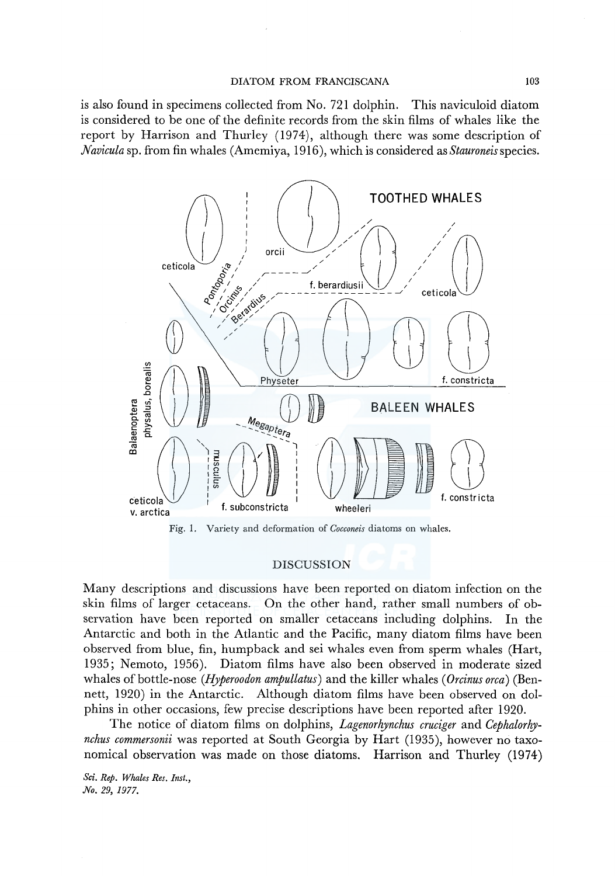## DIATOM FROM FRANCISCANA 103

is also found in specimens collected from No. 721 dolphin. This naviculoid diatom is considered to be one of the definite records from the skin films of whales like the report by Harrison and Thurley (1974), although there was some description of *Navicula* sp. from fin whales (Amemiya, 1916), which is considered as *Stauroneisspecies.* 



Fig. 1. Variety and deformation of *Cocconeis* diatoms on whales.

#### DISCUSSION

Many descriptions and discussions have been reported on diatom infection on the skin films of larger cetaceans. On the other hand, rather small numbers of observation have been reported on smaller cetaceans including dolphins. In the Antarctic and both in the Atlantic and the Pacific, many diatom films have been observed from blue, fin, humpback and sei whales even from sperm whales (Hart, 1935; Nemoto, 1956). Diatom films have also been observed in moderate sized whales of bottle-nose *(Hyperoodon ampullatus)* and the killer whales ( *Orcinus orca)* (Bennett, 1920) in the Antarctic. Although diatom films have been observed on dolphins in other occasions, few precise descriptions have been reported after 1920.

The notice of diatom films on dolphins, *Lagenorhynchus cruciger* and *Cephalorhynchus commersonii* was reported at South Georgia by Hart (1935), however no taxonomical observation was made on those diatoms. Harrison and Thurley (1974)

*Sci. Rep. Whales Res. Inst., No. 29, 1977.*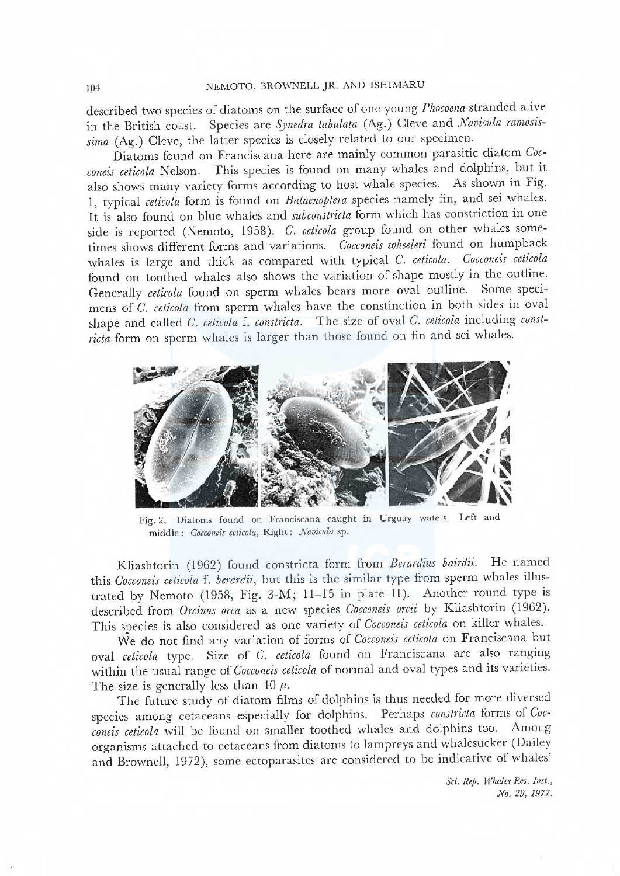#### 104 NEMOTO, BROWNELL JR. AND ISHIMARU

described two species of diatoms on the surface of one young Phocoena stranded alive in the British coast. Species are Synedra tabulata (Ag.) Cleve and Navicula ramosissima (Ag.) Cleve, the latter species is closely related to our specimen.

Diatoms found on Franciscana here are mainly common parasitic diatom Coeconeis ceticola Nelson. This species is found on many whales and dolphins, but it also shows many variety forms according to host whale species. As shown in Fig. I, typical ceticola form is found on Balaenoptera species namely fin, and sei whales. It is also found on blue whales and subconstricta form which has constriction in one side is reported (Nemoto, 1958). C. ceticola group found on other whales sometimes shows different forms and variations. Cocconeis wheeleri found on humpback whales is large and thick as compared with typical C. ceticola. Cocconeis ceticola found on toothed whales also shows the variation of shape mostly in the outline. Generaly ceticola found on sperm whales bears more oval outline. Some specimens of C. ceticola from sperm whales have the constinction in both sides in oval shape and called C. ceticola f. constricta. The size of oval C. ceticola including constricta form on sperm whales is larger than those found on fin and sei whales.



Fig. 2. Diatoms found on Franciscana caught in Urguay waters. Left and middle: Cocconeis ceticola, Right: Navicula sp.

Kliashtorin (1962) found constricta form from Berardius bairdii. He named this Cocconeis ceticola f. berardii, but this is the similar type from sperm whales illustrated by Nemoto (1958, Fig. 3-M; 11-15 in plate II). Another round type is described from Orcinus orca as a new species Cocconeis orcii by Kliashtorin (1962). This species is also considered as one variety of Cocconeis ceticola on kiler whales.

We do not find any variation of forms of Cocconeis ceticola on Franciscana but oval ceticola type. Size of C. ceticola found on Franciscana are also ranging within the usual range of Cocconeis ceticola of normal and oval types and its varieties. The size is generally less than 40  $\mu$ .

The future study of diatom films of dolphins is thus needed for more diversed species among cetaceans especialy for dolphins. Perhaps constricta forms of Coeconeis ceticola will be found on smaller toothed whales and dolphins too. Among organisms attached to cetaceans from diatoms to lampreys and whalesucker (Dailey and Brownell, 1972), some ectoparasites are considered to be indicative of whales'

> Sci. Rep. Whales Res. Inst., No. 29, 1977.